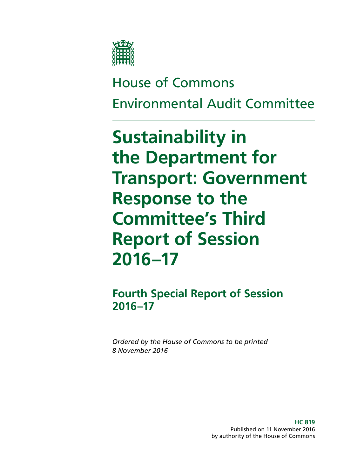

# House of Commons Environmental Audit Committee

# **Sustainability in the Department for Transport: Government Response to the Committee's Third Report of Session 2016–17**

**Fourth Special Report of Session 2016–17**

*Ordered by the House of Commons to be printed 8 November 2016*

> **HC 819** Published on 11 November 2016 by authority of the House of Commons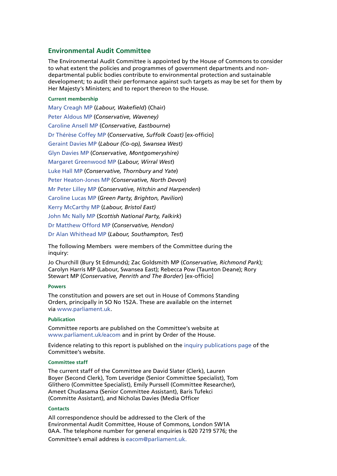### **Environmental Audit Committee**

The Environmental Audit Committee is appointed by the House of Commons to consider to what extent the policies and programmes of government departments and nondepartmental public bodies contribute to environmental protection and sustainable development; to audit their performance against such targets as may be set for them by Her Majesty's Ministers; and to report thereon to the House.

#### **Current membership**

[Mary Creagh MP](http://www.parliament.uk/biographies/commons/mary-creagh/1579) (*Labour, Wakefield*) (Chair) [Peter Aldous MP](http://www.parliament.uk/biographies/commons/peter-aldous/4069) (*Conservative, Waveney)* [Caroline Ansell MP](http://www.parliament.uk/biographies/commons/caroline-ansell/4512) (*Conservative, Eastbourne*) [Dr Thérèse Coffey MP](http://www.parliament.uk/biographies/commons/dr-thérèse-coffey/4098) (*Conservative, Suffolk Coast)* [ex-officio] [Geraint Davies MP](http://www.parliament.uk/biographies/commons/geraint-davies/155) (*Labour (Co-op), Swansea West)* [Glyn Davies MP](http://www.parliament.uk/biographies/commons/glyn-davies/4041) (*Conservative, Montgomeryshire)* [Margaret Greenwood MP](http://www.parliament.uk/biographies/commons/margaret-greenwood/4400) (*Labour, Wirral West*) [Luke Hall MP](http://www.parliament.uk/biographies/commons/luke-hall/4450) (*Conservative, Thornbury and Yate*) [Peter Heaton-Jones MP](http://www.parliament.uk/biographies/commons/peter-heaton-jones/4524) (*Conservative, North Devon*) [Mr Peter Lilley MP](http://www.parliament.uk/biographies/commons/mr-peter-lilley/68) (*Conservative, Hitchin and Harpenden*) [Caroline Lucas MP](http://www.parliament.uk/biographies/commons/caroline-lucas/3930) (*Green Party, Brighton, Pavilion*) [Kerry McCarthy MP](http://www.parliament.uk/biographies/commons/kerry-mccarthy/1491) (*Labour, Bristol East)* [John Mc Nally MP](http://www.parliament.uk/biographies/commons/john-mc-nally/4424) (*Scottish National Party, Falkirk*) [Dr Matthew Offord](http://www.parliament.uk/biographies/commons/dr-matthew-offord/4006) MP (*Conservative, Hendon)* [Dr Alan Whithead MP](http://www.parliament.uk/biographies/commons/dr-alan-whitehead/62) (*Labour, Southampton, Test*)

The following Members were members of the Committee during the inquiry:

Jo Churchill (Bury St Edmunds); Zac Goldsmith MP (*Conservative, Richmond Park*); [Carolyn Harris MP](http://www.parliament.uk/biographies/commons/carolyn-harris/4480) (Labour, Swansea East); Rebecca Pow (Taunton Deane); [Rory](http://www.parliament.uk/biographies/commons/rory-stewart/4137)  [Stewart MP](http://www.parliament.uk/biographies/commons/rory-stewart/4137) (*Conservative, Penrith and The Border*) [ex-officio]

#### **Powers**

The constitution and powers are set out in House of Commons Standing Orders, principally in SO No 152A. These are available on the internet via [www.parliament.uk](http://www.parliament.uk/).

#### **Publication**

Committee reports are published on the Committee's website at [www.parliament.uk/eacom](http://www.parliament.uk/eacom) and in print by Order of the House.

Evidence relating to this report is published on the [inquiry publications page](http://www.parliament.uk/business/committees/committees-a-z/commons-select/environmental-audit-committee/inquiries/parliament-2015/inquiry/publications/) of the Committee's website.

#### **Committee staff**

The current staff of the Committee are David Slater (Clerk), Lauren Boyer (Second Clerk), Tom Leveridge (Senior Committee Specialist), Tom Glithero (Committee Specialist), Emily Purssell (Committee Researcher), Ameet Chudasama (Senior Committee Assistant), Baris Tufekci (Committe Assistant), and Nicholas Davies (Media Officer

#### **Contacts**

All correspondence should be addressed to the Clerk of the Environmental Audit Committee, House of Commons, London SW1A 0AA. The telephone number for general enquiries is 020 7219 5776; the Committee's email address is [eacom@parliament.uk](mailto:eacom%40parliament.uk?subject=).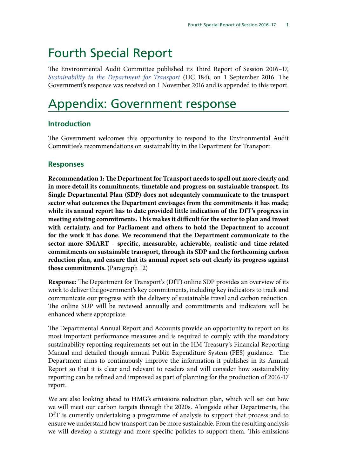# Fourth Special Report

The Environmental Audit Committee published its Third Report of Session 2016–17, *[Sustainability in the Department for Transport](http://www.publications.parliament.uk/pa/cm201617/cmselect/cmenvaud/184/18402.htm)* (HC 184), on 1 September 2016. The Government's response was received on 1 November 2016 and is appended to this report.

# Appendix: Government response

## **Introduction**

The Government welcomes this opportunity to respond to the Environmental Audit Committee's recommendations on sustainability in the Department for Transport.

## **Responses**

**Recommendation 1: The Department for Transport needs to spell out more clearly and in more detail its commitments, timetable and progress on sustainable transport. Its Single Departmental Plan (SDP) does not adequately communicate to the transport sector what outcomes the Department envisages from the commitments it has made; while its annual report has to date provided little indication of the DfT's progress in meeting existing commitments. This makes it difficult for the sector to plan and invest with certainty, and for Parliament and others to hold the Department to account for the work it has done. We recommend that the Department communicate to the sector more SMART - specific, measurable, achievable, realistic and time-related commitments on sustainable transport, through its SDP and the forthcoming carbon reduction plan, and ensure that its annual report sets out clearly its progress against those commitments.** (Paragraph 12)

**Response:** The Department for Transport's (DfT) online SDP provides an overview of its work to deliver the government's key commitments, including key indicators to track and communicate our progress with the delivery of sustainable travel and carbon reduction. The online SDP will be reviewed annually and commitments and indicators will be enhanced where appropriate.

The Departmental Annual Report and Accounts provide an opportunity to report on its most important performance measures and is required to comply with the mandatory sustainability reporting requirements set out in the HM Treasury's Financial Reporting Manual and detailed though annual Public Expenditure System (PES) guidance. The Department aims to continuously improve the information it publishes in its Annual Report so that it is clear and relevant to readers and will consider how sustainability reporting can be refined and improved as part of planning for the production of 2016-17 report.

We are also looking ahead to HMG's emissions reduction plan, which will set out how we will meet our carbon targets through the 2020s. Alongside other Departments, the DfT is currently undertaking a programme of analysis to support that process and to ensure we understand how transport can be more sustainable. From the resulting analysis we will develop a strategy and more specific policies to support them. This emissions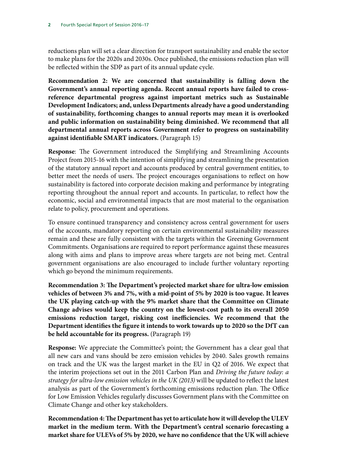reductions plan will set a clear direction for transport sustainability and enable the sector to make plans for the 2020s and 2030s. Once published, the emissions reduction plan will be reflected within the SDP as part of its annual update cycle.

**Recommendation 2: We are concerned that sustainability is falling down the Government's annual reporting agenda. Recent annual reports have failed to crossreference departmental progress against important metrics such as Sustainable Development Indicators; and, unless Departments already have a good understanding of sustainability, forthcoming changes to annual reports may mean it is overlooked and public information on sustainability being diminished. We recommend that all departmental annual reports across Government refer to progress on sustainability against identifiable SMART indicators.** (Paragraph 15)

**Response**: The Government introduced the Simplifying and Streamlining Accounts Project from 2015-16 with the intention of simplifying and streamlining the presentation of the statutory annual report and accounts produced by central government entities, to better meet the needs of users. The project encourages organisations to reflect on how sustainability is factored into corporate decision making and performance by integrating reporting throughout the annual report and accounts. In particular, to reflect how the economic, social and environmental impacts that are most material to the organisation relate to policy, procurement and operations.

To ensure continued transparency and consistency across central government for users of the accounts, mandatory reporting on certain environmental sustainability measures remain and these are fully consistent with the targets within the Greening Government Commitments. Organisations are required to report performance against these measures along with aims and plans to improve areas where targets are not being met. Central government organisations are also encouraged to include further voluntary reporting which go beyond the minimum requirements.

**Recommendation 3: The Department's projected market share for ultra-low emission vehicles of between 3% and 7%, with a mid-point of 5% by 2020 is too vague. It leaves the UK playing catch-up with the 9% market share that the Committee on Climate Change advises would keep the country on the lowest-cost path to its overall 2050 emissions reduction target, risking cost inefficiencies. We recommend that the Department identifies the figure it intends to work towards up to 2020 so the DfT can be held accountable for its progress.** (Paragraph 19)

**Response:** We appreciate the Committee's point; the Government has a clear goal that all new cars and vans should be zero emission vehicles by 2040. Sales growth remains on track and the UK was the largest market in the EU in Q2 of 2016. We expect that the interim projections set out in the 2011 Carbon Plan and *Driving the future today: a strategy for ultra-low emission vehicles in the UK (2013)* will be updated to reflect the latest analysis as part of the Government's forthcoming emissions reduction plan. The Office for Low Emission Vehicles regularly discusses Government plans with the Committee on Climate Change and other key stakeholders.

**Recommendation 4: The Department has yet to articulate how it will develop the ULEV market in the medium term. With the Department's central scenario forecasting a market share for ULEVs of 5% by 2020, we have no confidence that the UK will achieve**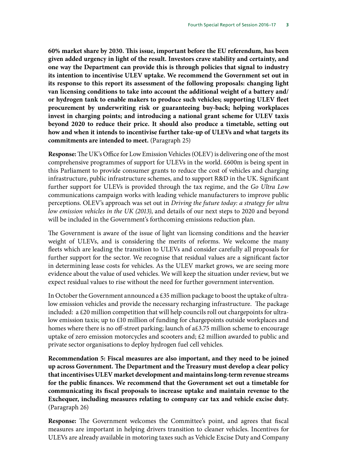**60% market share by 2030. This issue, important before the EU referendum, has been given added urgency in light of the result. Investors crave stability and certainty, and one way the Department can provide this is through policies that signal to industry its intention to incentivise ULEV uptake. We recommend the Government set out in its response to this report its assessment of the following proposals: changing light van licensing conditions to take into account the additional weight of a battery and/ or hydrogen tank to enable makers to produce such vehicles; supporting ULEV fleet procurement by underwriting risk or guaranteeing buy-back; helping workplaces invest in charging points; and introducing a national grant scheme for ULEV taxis beyond 2020 to reduce their price. It should also produce a timetable, setting out how and when it intends to incentivise further take-up of ULEVs and what targets its commitments are intended to meet.** (Paragraph 25)

**Response:** The UK's Office for Low Emission Vehicles (OLEV) is delivering one of the most comprehensive programmes of support for ULEVs in the world. £600m is being spent in this Parliament to provide consumer grants to reduce the cost of vehicles and charging infrastructure, public infrastructure schemes, and to support R&D in the UK. Significant further support for ULEVs is provided through the tax regime, and the *Go Ultra Low*  communications campaign works with leading vehicle manufacturers to improve public perceptions. OLEV's approach was set out in *Driving the future today: a strategy for ultra low emission vehicles in the UK (2013)*, and details of our next steps to 2020 and beyond will be included in the Government's forthcoming emissions reduction plan.

The Government is aware of the issue of light van licensing conditions and the heavier weight of ULEVs, and is considering the merits of reforms. We welcome the many fleets which are leading the transition to ULEVs and consider carefully all proposals for further support for the sector. We recognise that residual values are a significant factor in determining lease costs for vehicles. As the ULEV market grows, we are seeing more evidence about the value of used vehicles. We will keep the situation under review, but we expect residual values to rise without the need for further government intervention.

In October the Government announced a £35 million package to boost the uptake of ultralow emission vehicles and provide the necessary recharging infrastructure. The package included: a £20 million competition that will help councils roll out chargepoints for ultralow emission taxis; up to £10 million of funding for chargepoints outside workplaces and homes where there is no off-street parking; launch of a£3.75 million scheme to encourage uptake of zero emission motorcycles and scooters and; £2 million awarded to public and private sector organisations to deploy hydrogen fuel cell vehicles.

**Recommendation 5: Fiscal measures are also important, and they need to be joined up across Government. The Department and the Treasury must develop a clear policy that incentivises ULEV market development and maintains long-term revenue streams for the public finances. We recommend that the Government set out a timetable for communicating its fiscal proposals to increase uptake and maintain revenue to the Exchequer, including measures relating to company car tax and vehicle excise duty.**  (Paragraph 26)

**Response:** The Government welcomes the Committee's point, and agrees that fiscal measures are important in helping drivers transition to cleaner vehicles. Incentives for ULEVs are already available in motoring taxes such as Vehicle Excise Duty and Company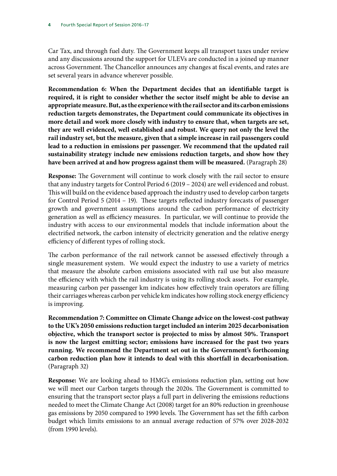Car Tax, and through fuel duty. The Government keeps all transport taxes under review and any discussions around the support for ULEVs are conducted in a joined up manner across Government. The Chancellor announces any changes at fiscal events, and rates are set several years in advance wherever possible.

**Recommendation 6: When the Department decides that an identifiable target is required, it is right to consider whether the sector itself might be able to devise an appropriate measure. But, as the experience with the rail sector and its carbon emissions reduction targets demonstrates, the Department could communicate its objectives in more detail and work more closely with industry to ensure that, when targets are set, they are well evidenced, well established and robust. We query not only the level the rail industry set, but the measure, given that a simple increase in rail passengers could lead to a reduction in emissions per passenger. We recommend that the updated rail sustainability strategy include new emissions reduction targets, and show how they have been arrived at and how progress against them will be measured.** (Paragraph 28)

**Response:** The Government will continue to work closely with the rail sector to ensure that any industry targets for Control Period 6 (2019 – 2024) are well evidenced and robust. This will build on the evidence based approach the industry used to develop carbon targets for Control Period 5 (2014 – 19). These targets reflected industry forecasts of passenger growth and government assumptions around the carbon performance of electricity generation as well as efficiency measures. In particular, we will continue to provide the industry with access to our environmental models that include information about the electrified network, the carbon intensity of electricity generation and the relative energy efficiency of different types of rolling stock.

The carbon performance of the rail network cannot be assessed effectively through a single measurement system. We would expect the industry to use a variety of metrics that measure the absolute carbon emissions associated with rail use but also measure the efficiency with which the rail industry is using its rolling stock assets. For example, measuring carbon per passenger km indicates how effectively train operators are filling their carriages whereas carbon per vehicle km indicates how rolling stock energy efficiency is improving.

**Recommendation 7: Committee on Climate Change advice on the lowest-cost pathway to the UK's 2050 emissions reduction target included an interim 2025 decarbonisation objective, which the transport sector is projected to miss by almost 50%. Transport is now the largest emitting sector; emissions have increased for the past two years running. We recommend the Department set out in the Government's forthcoming carbon reduction plan how it intends to deal with this shortfall in decarbonisation.**  (Paragraph 32)

**Response:** We are looking ahead to HMG's emissions reduction plan, setting out how we will meet our Carbon targets through the 2020s. The Government is committed to ensuring that the transport sector plays a full part in delivering the emissions reductions needed to meet the Climate Change Act (2008) target for an 80% reduction in greenhouse gas emissions by 2050 compared to 1990 levels. The Government has set the fifth carbon budget which limits emissions to an annual average reduction of 57% over 2028-2032 (from 1990 levels).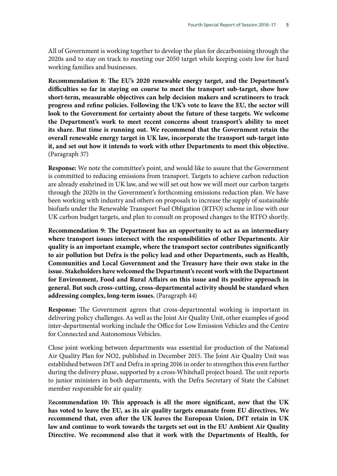All of Government is working together to develop the plan for decarbonising through the 2020s and to stay on track to meeting our 2050 target while keeping costs low for hard working families and businesses.

**Recommendation 8: The EU's 2020 renewable energy target, and the Department's difficulties so far in staying on course to meet the transport sub-target, show how short-term, measurable objectives can help decision makers and scrutineers to track progress and refine policies. Following the UK's vote to leave the EU, the sector will look to the Government for certainty about the future of these targets. We welcome the Department's work to meet recent concerns about transport's ability to meet its share. But time is running out. We recommend that the Government retain the overall renewable energy target in UK law, incorporate the transport sub-target into it, and set out how it intends to work with other Departments to meet this objective.**  (Paragraph 37)

**Response:** We note the committee's point, and would like to assure that the Government is committed to reducing emissions from transport. Targets to achieve carbon reduction are already enshrined in UK law, and we will set out how we will meet our carbon targets through the 2020s in the Government's forthcoming emissions reduction plan. We have been working with industry and others on proposals to increase the supply of sustainable biofuels under the Renewable Transport Fuel Obligation (RTFO) scheme in line with our UK carbon budget targets, and plan to consult on proposed changes to the RTFO shortly.

**Recommendation 9: The Department has an opportunity to act as an intermediary where transport issues intersect with the responsibilities of other Departments. Air quality is an important example, where the transport sector contributes significantly to air pollution but Defra is the policy lead and other Departments, such as Health, Communities and Local Government and the Treasury have their own stake in the issue. Stakeholders have welcomed the Department's recent work with the Department for Environment, Food and Rural Affairs on this issue and its positive approach in general. But such cross-cutting, cross-departmental activity should be standard when addressing complex, long-term issues.** (Paragraph 44)

**Response:** The Government agrees that cross-departmental working is important in delivering policy challenges. As well as the Joint Air Quality Unit, other examples of good inter-departmental working include the Office for Low Emission Vehicles and the Centre for Connected and Autonomous Vehicles.

Close joint working between departments was essential for production of the National Air Quality Plan for NO2, published in December 2015. The Joint Air Quality Unit was established between DfT and Defra in spring 2016 in order to strengthen this even further during the delivery phase, supported by a cross-Whitehall project board. The unit reports to junior ministers in both departments, with the Defra Secretary of State the Cabinet member responsible for air quality

R**ecommendation 10: This approach is all the more significant, now that the UK has voted to leave the EU, as its air quality targets emanate from EU directives. We recommend that, even after the UK leaves the European Union, DfT retain in UK law and continue to work towards the targets set out in the EU Ambient Air Quality Directive. We recommend also that it work with the Departments of Health, for**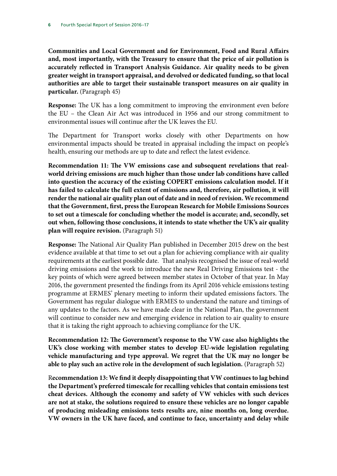**Communities and Local Government and for Environment, Food and Rural Affairs and, most importantly, with the Treasury to ensure that the price of air pollution is accurately reflected in Transport Analysis Guidance. Air quality needs to be given greater weight in transport appraisal, and devolved or dedicated funding, so that local authorities are able to target their sustainable transport measures on air quality in particular.** (Paragraph 45)

**Response:** The UK has a long commitment to improving the environment even before the EU – the Clean Air Act was introduced in 1956 and our strong commitment to environmental issues will continue after the UK leaves the EU.

The Department for Transport works closely with other Departments on how environmental impacts should be treated in appraisal including the impact on people's health, ensuring our methods are up to date and reflect the latest evidence.

**Recommendation 11: The VW emissions case and subsequent revelations that realworld driving emissions are much higher than those under lab conditions have called into question the accuracy of the existing COPERT emissions calculation model. If it has failed to calculate the full extent of emissions and, therefore, air pollution, it will render the national air quality plan out of date and in need of revision. We recommend that the Government, first, press the European Research for Mobile Emissions Sources to set out a timescale for concluding whether the model is accurate; and, secondly, set out when, following those conclusions, it intends to state whether the UK's air quality plan will require revision.** (Paragraph 51)

**Response:** The National Air Quality Plan published in December 2015 drew on the best evidence available at that time to set out a plan for achieving compliance with air quality requirements at the earliest possible date. That analysis recognised the issue of real-world driving emissions and the work to introduce the new Real Driving Emissions test - the key points of which were agreed between member states in October of that year. In May 2016, the government presented the findings from its April 2016 vehicle emissions testing programme at ERMES' plenary meeting to inform their updated emissions factors. The Government has regular dialogue with ERMES to understand the nature and timings of any updates to the factors. As we have made clear in the National Plan, the government will continue to consider new and emerging evidence in relation to air quality to ensure that it is taking the right approach to achieving compliance for the UK.

**Recommendation 12: The Government's response to the VW case also highlights the UK's close working with member states to develop EU-wide legislation regulating vehicle manufacturing and type approval. We regret that the UK may no longer be able to play such an active role in the development of such legislation.** (Paragraph 52)

R**ecommendation 13: We find it deeply disappointing that VW continues to lag behind the Department's preferred timescale for recalling vehicles that contain emissions test cheat devices. Although the economy and safety of VW vehicles with such devices are not at stake, the solutions required to ensure these vehicles are no longer capable of producing misleading emissions tests results are, nine months on, long overdue. VW owners in the UK have faced, and continue to face, uncertainty and delay while**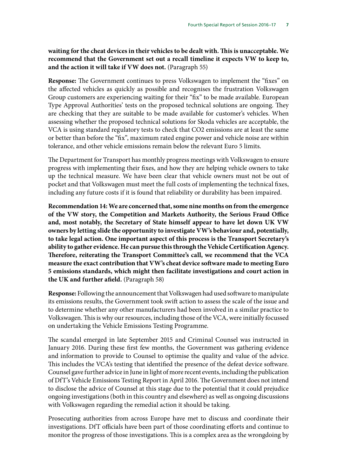**waiting for the cheat devices in their vehicles to be dealt with. This is unacceptable. We recommend that the Government set out a recall timeline it expects VW to keep to, and the action it will take if VW does not.** (Paragraph 55)

**Response:** The Government continues to press Volkswagen to implement the "fixes" on the affected vehicles as quickly as possible and recognises the frustration Volkswagen Group customers are experiencing waiting for their "fix" to be made available. European Type Approval Authorities' tests on the proposed technical solutions are ongoing. They are checking that they are suitable to be made available for customer's vehicles. When assessing whether the proposed technical solutions for Skoda vehicles are acceptable, the VCA is using standard regulatory tests to check that CO2 emissions are at least the same or better than before the "fix", maximum rated engine power and vehicle noise are within tolerance, and other vehicle emissions remain below the relevant Euro 5 limits.

The Department for Transport has monthly progress meetings with Volkswagen to ensure progress with implementing their fixes, and how they are helping vehicle owners to take up the technical measure. We have been clear that vehicle owners must not be out of pocket and that Volkswagen must meet the full costs of implementing the technical fixes, including any future costs if it is found that reliability or durability has been impaired.

**Recommendation 14: We are concerned that, some nine months on from the emergence of the VW story, the Competition and Markets Authority, the Serious Fraud Office and, most notably, the Secretary of State himself appear to have let down UK VW owners by letting slide the opportunity to investigate VW's behaviour and, potentially, to take legal action. One important aspect of this process is the Transport Secretary's ability to gather evidence. He can pursue this through the Vehicle Certification Agency. Therefore, reiterating the Transport Committee's call, we recommend that the VCA measure the exact contribution that VW's cheat device software made to meeting Euro 5 emissions standards, which might then facilitate investigations and court action in the UK and further afield.** (Paragraph 58)

**Response:** Following the announcement that Volkswagen had used software to manipulate its emissions results, the Government took swift action to assess the scale of the issue and to determine whether any other manufacturers had been involved in a similar practice to Volkswagen. This is why our resources, including those of the VCA, were initially focussed on undertaking the Vehicle Emissions Testing Programme.

The scandal emerged in late September 2015 and Criminal Counsel was instructed in January 2016. During these first few months, the Government was gathering evidence and information to provide to Counsel to optimise the quality and value of the advice. This includes the VCA's testing that identified the presence of the defeat device software. Counsel gave further advice in June in light of more recent events, including the publication of DfT's Vehicle Emissions Testing Report in April 2016. The Government does not intend to disclose the advice of Counsel at this stage due to the potential that it could prejudice ongoing investigations (both in this country and elsewhere) as well as ongoing discussions with Volkswagen regarding the remedial action it should be taking.

Prosecuting authorities from across Europe have met to discuss and coordinate their investigations. DfT officials have been part of those coordinating efforts and continue to monitor the progress of those investigations. This is a complex area as the wrongdoing by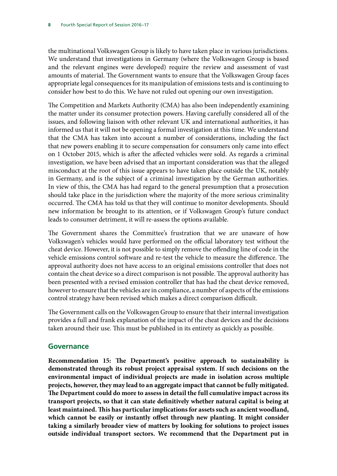the multinational Volkswagen Group is likely to have taken place in various jurisdictions. We understand that investigations in Germany (where the Volkswagen Group is based and the relevant engines were developed) require the review and assessment of vast amounts of material. The Government wants to ensure that the Volkswagen Group faces appropriate legal consequences for its manipulation of emissions tests and is continuing to consider how best to do this. We have not ruled out opening our own investigation.

The Competition and Markets Authority (CMA) has also been independently examining the matter under its consumer protection powers. Having carefully considered all of the issues, and following liaison with other relevant UK and international authorities, it has informed us that it will not be opening a formal investigation at this time. We understand that the CMA has taken into account a number of considerations, including the fact that new powers enabling it to secure compensation for consumers only came into effect on 1 October 2015, which is after the affected vehicles were sold. As regards a criminal investigation, we have been advised that an important consideration was that the alleged misconduct at the root of this issue appears to have taken place outside the UK, notably in Germany, and is the subject of a criminal investigation by the German authorities. In view of this, the CMA has had regard to the general presumption that a prosecution should take place in the jurisdiction where the majority of the more serious criminality occurred. The CMA has told us that they will continue to monitor developments. Should new information be brought to its attention, or if Volkswagen Group's future conduct leads to consumer detriment, it will re-assess the options available.

The Government shares the Committee's frustration that we are unaware of how Volkswagen's vehicles would have performed on the official laboratory test without the cheat device. However, it is not possible to simply remove the offending line of code in the vehicle emissions control software and re-test the vehicle to measure the difference. The approval authority does not have access to an original emissions controller that does not contain the cheat device so a direct comparison is not possible. The approval authority has been presented with a revised emission controller that has had the cheat device removed, however to ensure that the vehicles are in compliance, a number of aspects of the emissions control strategy have been revised which makes a direct comparison difficult.

The Government calls on the Volkswagen Group to ensure that their internal investigation provides a full and frank explanation of the impact of the cheat devices and the decisions taken around their use. This must be published in its entirety as quickly as possible.

## **Governance**

**Recommendation 15: The Department's positive approach to sustainability is demonstrated through its robust project appraisal system. If such decisions on the environmental impact of individual projects are made in isolation across multiple projects, however, they may lead to an aggregate impact that cannot be fully mitigated. The Department could do more to assess in detail the full cumulative impact across its transport projects, so that it can state definitively whether natural capital is being at least maintained. This has particular implications for assets such as ancient woodland, which cannot be easily or instantly offset through new planting. It might consider taking a similarly broader view of matters by looking for solutions to project issues outside individual transport sectors. We recommend that the Department put in**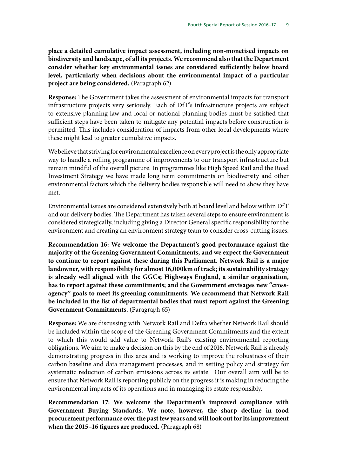**place a detailed cumulative impact assessment, including non-monetised impacts on biodiversity and landscape, of all its projects. We recommend also that the Department consider whether key environmental issues are considered sufficiently below board level, particularly when decisions about the environmental impact of a particular project are being considered.** (Paragraph 62)

**Response:** The Government takes the assessment of environmental impacts for transport infrastructure projects very seriously. Each of DfT's infrastructure projects are subject to extensive planning law and local or national planning bodies must be satisfied that sufficient steps have been taken to mitigate any potential impacts before construction is permitted. This includes consideration of impacts from other local developments where these might lead to greater cumulative impacts.

We believe that striving for environmental excellence on every project is the only appropriate way to handle a rolling programme of improvements to our transport infrastructure but remain mindful of the overall picture. In programmes like High Speed Rail and the Road Investment Strategy we have made long term commitments on biodiversity and other environmental factors which the delivery bodies responsible will need to show they have met.

Environmental issues are considered extensively both at board level and below within DfT and our delivery bodies. The Department has taken several steps to ensure environment is considered strategically, including giving a Director General specific responsibility for the environment and creating an environment strategy team to consider cross-cutting issues.

**Recommendation 16: We welcome the Department's good performance against the majority of the Greening Government Commitments, and we expect the Government to continue to report against these during this Parliament. Network Rail is a major landowner, with responsibility for almost 16,000km of track; its sustainability strategy is already well aligned with the GGCs; Highways England, a similar organisation, has to report against these commitments; and the Government envisages new "crossagency" goals to meet its greening commitments. We recommend that Network Rail be included in the list of departmental bodies that must report against the Greening Government Commitments.** (Paragraph 65)

**Response:** We are discussing with Network Rail and Defra whether Network Rail should be included within the scope of the Greening Government Commitments and the extent to which this would add value to Network Rail's existing environmental reporting obligations. We aim to make a decision on this by the end of 2016. Network Rail is already demonstrating progress in this area and is working to improve the robustness of their carbon baseline and data management processes, and in setting policy and strategy for systematic reduction of carbon emissions across its estate. Our overall aim will be to ensure that Network Rail is reporting publicly on the progress it is making in reducing the environmental impacts of its operations and in managing its estate responsibly.

**Recommendation 17: We welcome the Department's improved compliance with Government Buying Standards. We note, however, the sharp decline in food procurement performance over the past few years and will look out for its improvement when the 2015–16 figures are produced.** (Paragraph 68)